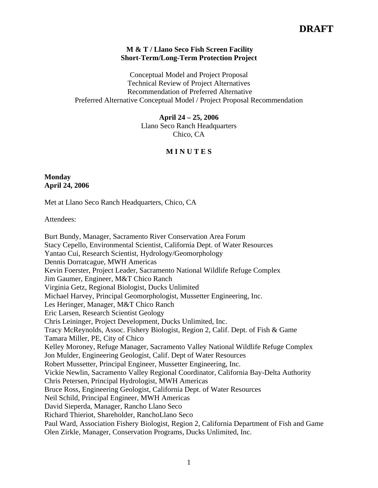## **M & T / Llano Seco Fish Screen Facility Short-Term/Long-Term Protection Project**

Conceptual Model and Project Proposal Technical Review of Project Alternatives Recommendation of Preferred Alternative Preferred Alternative Conceptual Model / Project Proposal Recommendation

**April 24 – 25, 2006**

Llano Seco Ranch Headquarters Chico, CA

# **M I N U T E S**

# **Monday April 24, 2006**

Met at Llano Seco Ranch Headquarters, Chico, CA

Attendees:

Burt Bundy, Manager, Sacramento River Conservation Area Forum Stacy Cepello, Environmental Scientist, California Dept. of Water Resources Yantao Cui, Research Scientist, Hydrology/Geomorphology Dennis Dorratcague, MWH Americas Kevin Foerster, Project Leader, Sacramento National Wildlife Refuge Complex Jim Gaumer, Engineer, M&T Chico Ranch Virginia Getz, Regional Biologist, Ducks Unlimited Michael Harvey, Principal Geomorphologist, Mussetter Engineering, Inc. Les Heringer, Manager, M&T Chico Ranch Eric Larsen, Research Scientist Geology Chris Leininger, Project Development, Ducks Unlimited, Inc. Tracy McReynolds, Assoc. Fishery Biologist, Region 2, Calif. Dept. of Fish & Game Tamara Miller, PE, City of Chico Kelley Moroney, Refuge Manager, Sacramento Valley National Wildlife Refuge Complex Jon Mulder, Engineering Geologist, Calif. Dept of Water Resources Robert Mussetter, Principal Engineer, Mussetter Engineering, Inc. Vickie Newlin, Sacramento Valley Regional Coordinator, California Bay-Delta Authority Chris Petersen, Principal Hydrologist, MWH Americas Bruce Ross, Engineering Geologist, California Dept. of Water Resources Neil Schild, Principal Engineer, MWH Americas David Sieperda, Manager, Rancho Llano Seco Richard Thieriot, Shareholder, RanchoLlano Seco Paul Ward, Association Fishery Biologist, Region 2, California Department of Fish and Game Olen Zirkle, Manager, Conservation Programs, Ducks Unlimited, Inc.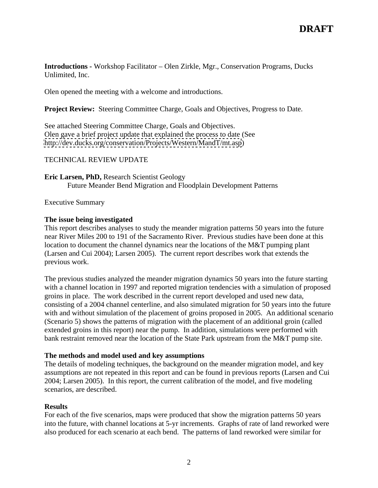**Introductions -** Workshop Facilitator – Olen Zirkle, Mgr., Conservation Programs, Ducks Unlimited, Inc.

Olen opened the meeting with a welcome and introductions.

**Project Review:** Steering Committee Charge, Goals and Objectives, Progress to Date.

See attached Steering Committee Charge, Goals and Objectives. Olen gave a brief project update that explained the process to date (See <http://dev.ducks.org/conservation/Projects/Western/MandT/mt.asp>)

# TECHNICAL REVIEW UPDATE

**Eric Larsen, PhD,** Research Scientist Geology Future Meander Bend Migration and Floodplain Development Patterns

Executive Summary

## **The issue being investigated**

This report describes analyses to study the meander migration patterns 50 years into the future near River Miles 200 to 191 of the Sacramento River. Previous studies have been done at this location to document the channel dynamics near the locations of the M&T pumping plant (Larsen and Cui 2004); Larsen 2005). The current report describes work that extends the previous work.

The previous studies analyzed the meander migration dynamics 50 years into the future starting with a channel location in 1997 and reported migration tendencies with a simulation of proposed groins in place. The work described in the current report developed and used new data, consisting of a 2004 channel centerline, and also simulated migration for 50 years into the future with and without simulation of the placement of groins proposed in 2005. An additional scenario (Scenario 5) shows the patterns of migration with the placement of an additional groin (called extended groins in this report) near the pump. In addition, simulations were performed with bank restraint removed near the location of the State Park upstream from the M&T pump site.

#### **The methods and model used and key assumptions**

The details of modeling techniques, the background on the meander migration model, and key assumptions are not repeated in this report and can be found in previous reports (Larsen and Cui 2004; Larsen 2005). In this report, the current calibration of the model, and five modeling scenarios, are described.

### **Results**

For each of the five scenarios, maps were produced that show the migration patterns 50 years into the future, with channel locations at 5-yr increments. Graphs of rate of land reworked were also produced for each scenario at each bend. The patterns of land reworked were similar for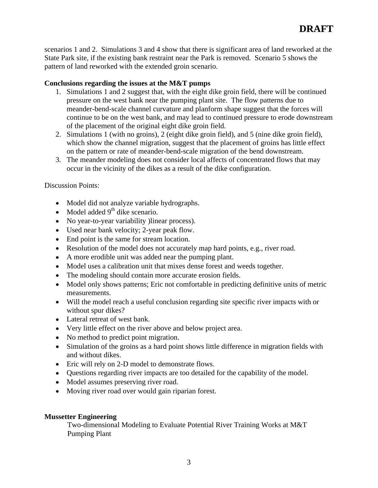scenarios 1 and 2. Simulations 3 and 4 show that there is significant area of land reworked at the State Park site, if the existing bank restraint near the Park is removed. Scenario 5 shows the pattern of land reworked with the extended groin scenario.

## **Conclusions regarding the issues at the M&T pumps**

- 1. Simulations 1 and 2 suggest that, with the eight dike groin field, there will be continued pressure on the west bank near the pumping plant site. The flow patterns due to meander-bend-scale channel curvature and planform shape suggest that the forces will continue to be on the west bank, and may lead to continued pressure to erode downstream of the placement of the original eight dike groin field.
- 2. Simulations 1 (with no groins), 2 (eight dike groin field), and 5 (nine dike groin field), which show the channel migration, suggest that the placement of groins has little effect on the pattern or rate of meander-bend-scale migration of the bend downstream.
- 3. The meander modeling does not consider local affects of concentrated flows that may occur in the vicinity of the dikes as a result of the dike configuration.

### Discussion Points:

- Model did not analyze variable hydrographs.
- $\bullet$  Model added 9<sup>th</sup> dike scenario.
- No year-to-year variability )linear process).
- Used near bank velocity; 2-year peak flow.
- End point is the same for stream location.
- Resolution of the model does not accurately map hard points, e.g., river road.
- A more erodible unit was added near the pumping plant.
- Model uses a calibration unit that mixes dense forest and weeds together.
- The modeling should contain more accurate erosion fields.
- Model only shows patterns; Eric not comfortable in predicting definitive units of metric measurements.
- Will the model reach a useful conclusion regarding site specific river impacts with or without spur dikes?
- Lateral retreat of west bank.
- Very little effect on the river above and below project area.
- No method to predict point migration.
- Simulation of the groins as a hard point shows little difference in migration fields with and without dikes.
- Eric will rely on 2-D model to demonstrate flows.
- Questions regarding river impacts are too detailed for the capability of the model.
- Model assumes preserving river road.
- Moving river road over would gain riparian forest.

## **Mussetter Engineering**

Two-dimensional Modeling to Evaluate Potential River Training Works at M&T Pumping Plant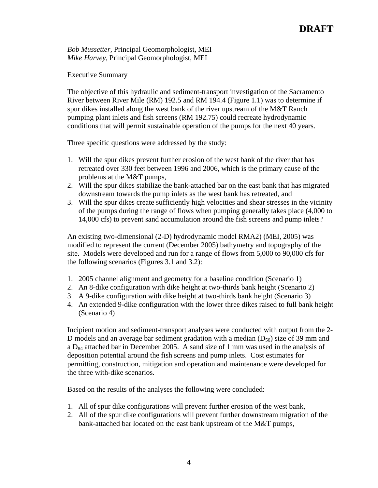*Bob Mussetter,* Principal Geomorphologist, MEI *Mike Harvey*, Principal Geomorphologist, MEI

Executive Summary

The objective of this hydraulic and sediment-transport investigation of the Sacramento River between River Mile (RM) 192.5 and RM 194.4 (Figure 1.1) was to determine if spur dikes installed along the west bank of the river upstream of the M&T Ranch pumping plant inlets and fish screens (RM 192.75) could recreate hydrodynamic conditions that will permit sustainable operation of the pumps for the next 40 years.

Three specific questions were addressed by the study:

- 1. Will the spur dikes prevent further erosion of the west bank of the river that has retreated over 330 feet between 1996 and 2006, which is the primary cause of the problems at the M&T pumps,
- 2. Will the spur dikes stabilize the bank-attached bar on the east bank that has migrated downstream towards the pump inlets as the west bank has retreated, and
- 3. Will the spur dikes create sufficiently high velocities and shear stresses in the vicinity of the pumps during the range of flows when pumping generally takes place (4,000 to 14,000 cfs) to prevent sand accumulation around the fish screens and pump inlets?

An existing two-dimensional (2-D) hydrodynamic model RMA2) (MEI, 2005) was modified to represent the current (December 2005) bathymetry and topography of the site. Models were developed and run for a range of flows from 5,000 to 90,000 cfs for the following scenarios (Figures 3.1 and 3.2):

- 1. 2005 channel alignment and geometry for a baseline condition (Scenario 1)
- 2. An 8-dike configuration with dike height at two-thirds bank height (Scenario 2)
- 3. A 9-dike configuration with dike height at two-thirds bank height (Scenario 3)
- 4. An extended 9-dike configuration with the lower three dikes raised to full bank height (Scenario 4)

Incipient motion and sediment-transport analyses were conducted with output from the 2- D models and an average bar sediment gradation with a median  $(D_{50})$  size of 39 mm and a  $D_{84}$  attached bar in December 2005. A sand size of 1 mm was used in the analysis of deposition potential around the fish screens and pump inlets. Cost estimates for permitting, construction, mitigation and operation and maintenance were developed for the three with-dike scenarios.

Based on the results of the analyses the following were concluded:

- 1. All of spur dike configurations will prevent further erosion of the west bank,
- 2. All of the spur dike configurations will prevent further downstream migration of the bank-attached bar located on the east bank upstream of the M&T pumps,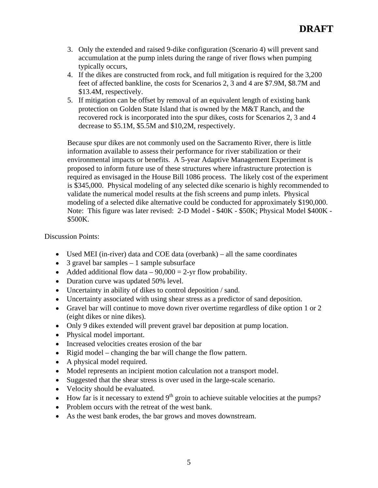- 3. Only the extended and raised 9-dike configuration (Scenario 4) will prevent sand accumulation at the pump inlets during the range of river flows when pumping typically occurs,
- 4. If the dikes are constructed from rock, and full mitigation is required for the 3,200 feet of affected bankline, the costs for Scenarios 2, 3 and 4 are \$7.9M, \$8.7M and \$13.4M, respectively.
- 5. If mitigation can be offset by removal of an equivalent length of existing bank protection on Golden State Island that is owned by the M&T Ranch, and the recovered rock is incorporated into the spur dikes, costs for Scenarios 2, 3 and 4 decrease to \$5.1M, \$5.5M and \$10,2M, respectively.

Because spur dikes are not commonly used on the Sacramento River, there is little information available to assess their performance for river stabilization or their environmental impacts or benefits. A 5-year Adaptive Management Experiment is proposed to inform future use of these structures where infrastructure protection is required as envisaged in the House Bill 1086 process. The likely cost of the experiment is \$345,000. Physical modeling of any selected dike scenario is highly recommended to validate the numerical model results at the fish screens and pump inlets. Physical modeling of a selected dike alternative could be conducted for approximately \$190,000. Note: This figure was later revised: 2-D Model - \$40K - \$50K; Physical Model \$400K -  $$500K.$ 

### Discussion Points:

- Used MEI (in-river) data and COE data (overbank) all the same coordinates
- $\bullet$  3 gravel bar samples 1 sample subsurface
- Added additional flow data  $90,000 = 2$ -yr flow probability.
- Duration curve was updated 50% level.
- Uncertainty in ability of dikes to control deposition / sand.
- Uncertainty associated with using shear stress as a predictor of sand deposition.
- Gravel bar will continue to move down river overtime regardless of dike option 1 or 2 (eight dikes or nine dikes).
- Only 9 dikes extended will prevent gravel bar deposition at pump location.
- Physical model important.
- Increased velocities creates erosion of the bar
- Rigid model changing the bar will change the flow pattern.
- A physical model required.
- Model represents an incipient motion calculation not a transport model.
- Suggested that the shear stress is over used in the large-scale scenario.
- Velocity should be evaluated.
- $\bullet$  How far is it necessary to extend 9<sup>th</sup> groin to achieve suitable velocities at the pumps?
- Problem occurs with the retreat of the west bank.
- As the west bank erodes, the bar grows and moves downstream.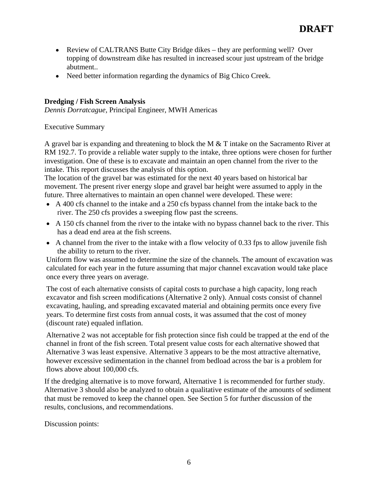- Review of CALTRANS Butte City Bridge dikes they are performing well? Over topping of downstream dike has resulted in increased scour just upstream of the bridge abutment..
- Need better information regarding the dynamics of Big Chico Creek.

### **Dredging / Fish Screen Analysis**

*Dennis Dorratcague,* Principal Engineer, MWH Americas

Executive Summary

A gravel bar is expanding and threatening to block the M & T intake on the Sacramento River at RM 192.7. To provide a reliable water supply to the intake, three options were chosen for further investigation. One of these is to excavate and maintain an open channel from the river to the intake. This report discusses the analysis of this option.

The location of the gravel bar was estimated for the next 40 years based on historical bar movement. The present river energy slope and gravel bar height were assumed to apply in the future. Three alternatives to maintain an open channel were developed. These were:

- A 400 cfs channel to the intake and a 250 cfs bypass channel from the intake back to the river. The 250 cfs provides a sweeping flow past the screens.
- A 150 cfs channel from the river to the intake with no bypass channel back to the river. This has a dead end area at the fish screens.
- A channel from the river to the intake with a flow velocity of 0.33 fps to allow juvenile fish the ability to return to the river.

Uniform flow was assumed to determine the size of the channels. The amount of excavation was calculated for each year in the future assuming that major channel excavation would take place once every three years on average.

The cost of each alternative consists of capital costs to purchase a high capacity, long reach excavator and fish screen modifications (Alternative 2 only). Annual costs consist of channel excavating, hauling, and spreading excavated material and obtaining permits once every five years. To determine first costs from annual costs, it was assumed that the cost of money (discount rate) equaled inflation.

Alternative 2 was not acceptable for fish protection since fish could be trapped at the end of the channel in front of the fish screen. Total present value costs for each alternative showed that Alternative 3 was least expensive. Alternative 3 appears to be the most attractive alternative, however excessive sedimentation in the channel from bedload across the bar is a problem for flows above about 100,000 cfs.

If the dredging alternative is to move forward, Alternative 1 is recommended for further study. Alternative 3 should also be analyzed to obtain a qualitative estimate of the amounts of sediment that must be removed to keep the channel open. See Section 5 for further discussion of the results, conclusions, and recommendations.

Discussion points: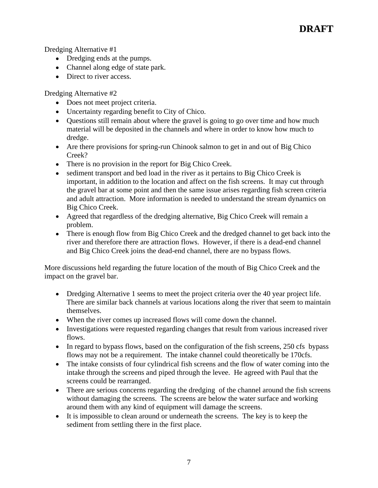Dredging Alternative #1

- Dredging ends at the pumps.
- Channel along edge of state park.
- Direct to river access.

Dredging Alternative #2

- Does not meet project criteria.
- Uncertainty regarding benefit to City of Chico.
- Questions still remain about where the gravel is going to go over time and how much material will be deposited in the channels and where in order to know how much to dredge.
- Are there provisions for spring-run Chinook salmon to get in and out of Big Chico Creek?
- There is no provision in the report for Big Chico Creek.
- sediment transport and bed load in the river as it pertains to Big Chico Creek is important, in addition to the location and affect on the fish screens. It may cut through the gravel bar at some point and then the same issue arises regarding fish screen criteria and adult attraction. More information is needed to understand the stream dynamics on Big Chico Creek.
- Agreed that regardless of the dredging alternative, Big Chico Creek will remain a problem.
- There is enough flow from Big Chico Creek and the dredged channel to get back into the river and therefore there are attraction flows. However, if there is a dead-end channel and Big Chico Creek joins the dead-end channel, there are no bypass flows.

More discussions held regarding the future location of the mouth of Big Chico Creek and the impact on the gravel bar.

- Dredging Alternative 1 seems to meet the project criteria over the 40 year project life. There are similar back channels at various locations along the river that seem to maintain themselves.
- When the river comes up increased flows will come down the channel.
- Investigations were requested regarding changes that result from various increased river
- flows.<br>In regard to bypass flows, based on the configuration of the fish screens, 250 cfs bypass flows may not be a requirement. The intake channel could theoretically be 170cfs.
- The intake consists of four cylindrical fish screens and the flow of water coming into the intake through the screens and piped through the levee. He agreed with Paul that the screens could be rearranged.
- There are serious concerns regarding the dredging of the channel around the fish screens without damaging the screens. The screens are below the water surface and working around them with any kind of equipment will damage the screens.
- It is impossible to clean around or underneath the screens. The key is to keep the sediment from settling there in the first place.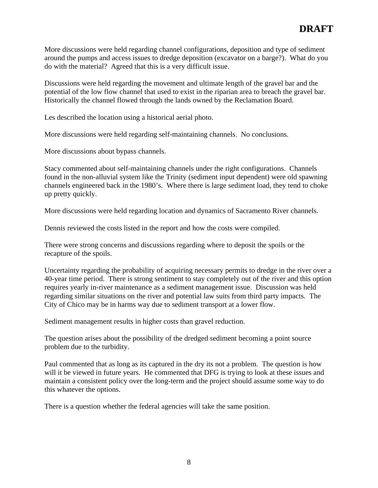More discussions were held regarding channel configurations, deposition and type of sediment around the pumps and access issues to dredge deposition (excavator on a barge?). What do you do with the material? Agreed that this is a very difficult issue.

Discussions were held regarding the movement and ultimate length of the gravel bar and the potential of the low flow channel that used to exist in the riparian area to breach the gravel bar. Historically the channel flowed through the lands owned by the Reclamation Board.

Les described the location using a historical aerial photo.

More discussions were held regarding self-maintaining channels. No conclusions.

More discussions about bypass channels.

Stacy commented about self-maintaining channels under the right configurations. Channels found in the non-alluvial system like the Trinity (sediment input dependent) were old spawning channels engineered back in the 1980's. Where there is large sediment load, they tend to choke up pretty quickly.

More discussions were held regarding location and dynamics of Sacramento River channels.

Dennis reviewed the costs listed in the report and how the costs were compiled.

There were strong concerns and discussions regarding where to deposit the spoils or the recapture of the spoils.

Uncertainty regarding the probability of acquiring necessary permits to dredge in the river over a 40-year time period. There is strong sentiment to stay completely out of the river and this option requires yearly in-river maintenance as a sediment management issue. Discussion was held regarding similar situations on the river and potential law suits from third party impacts. The City of Chico may be in harms way due to sediment transport at a lower flow.

Sediment management results in higher costs than gravel reduction.

The question arises about the possibility of the dredged sediment becoming a point source problem due to the turbidity.

Paul commented that as long as its captured in the dry its not a problem. The question is how will it be viewed in future years. He commented that DFG is trying to look at these issues and maintain a consistent policy over the long-term and the project should assume some way to do this whatever the options.

There is a question whether the federal agencies will take the same position.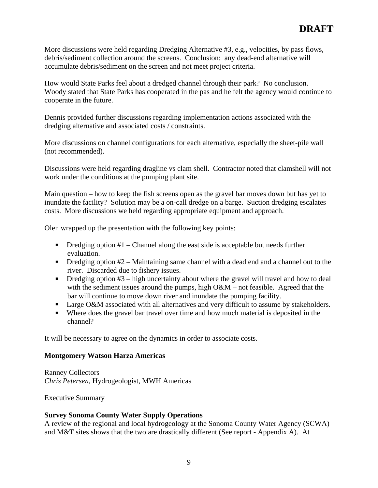More discussions were held regarding Dredging Alternative #3, e.g., velocities, by pass flows, debris/sediment collection around the screens. Conclusion: any dead-end alternative will accumulate debris/sediment on the screen and not meet project criteria.

How would State Parks feel about a dredged channel through their park? No conclusion. Woody stated that State Parks has cooperated in the pas and he felt the agency would continue to cooperate in the future.

Dennis provided further discussions regarding implementation actions associated with the dredging alternative and associated costs / constraints.

More discussions on channel configurations for each alternative, especially the sheet-pile wall (not recommended).

Discussions were held regarding dragline vs clam shell. Contractor noted that clamshell will not work under the conditions at the pumping plant site.

Main question – how to keep the fish screens open as the gravel bar moves down but has yet to inundate the facility? Solution may be a on-call dredge on a barge. Suction dredging escalates costs. More discussions we held regarding appropriate equipment and approach.

Olen wrapped up the presentation with the following key points:

- $\blacksquare$  Dredging option #1 Channel along the east side is acceptable but needs further evaluation.
- $\blacksquare$  Dredging option #2 Maintaining same channel with a dead end and a channel out to the river. Discarded due to fishery issues.
- Dredging option #3 high uncertainty about where the gravel will travel and how to deal  $\mathbf{u}$  . with the sediment issues around the pumps, high O&M – not feasible. Agreed that the bar will continue to move down river and inundate the pumping facility.
- **Large O&M associated with all alternatives and very difficult to assume by stakeholders.**
- Where does the gravel bar travel over time and how much material is deposited in the channel?

It will be necessary to agree on the dynamics in order to associate costs.

# **Montgomery Watson Harza Americas**

Ranney Collectors *Chris Petersen*, Hydrogeologist, MWH Americas

Executive Summary

# **Survey Sonoma County Water Supply Operations**

A review of the regional and local hydrogeology at the Sonoma County Water Agency (SCWA) and M&T sites shows that the two are drastically different (See report - Appendix A). At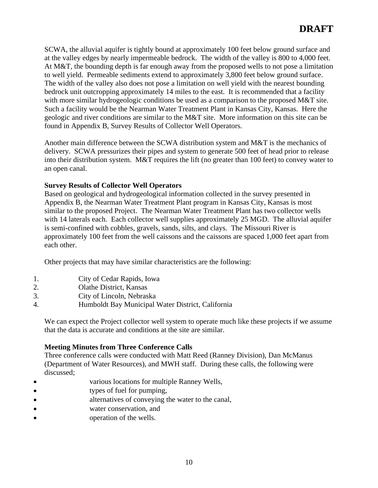SCWA, the alluvial aquifer is tightly bound at approximately 100 feet below ground surface and at the valley edges by nearly impermeable bedrock. The width of the valley is 800 to 4,000 feet. At M&T, the bounding depth is far enough away from the proposed wells to not pose a limitation to well yield. Permeable sediments extend to approximately 3,800 feet below ground surface. The width of the valley also does not pose a limitation on well yield with the nearest bounding bedrock unit outcropping approximately 14 miles to the east. It is recommended that a facility with more similar hydrogeologic conditions be used as a comparison to the proposed M&T site. Such a facility would be the Nearman Water Treatment Plant in Kansas City, Kansas. Here the geologic and river conditions are similar to the M&T site. More information on this site can be found in Appendix B, Survey Results of Collector Well Operators.

Another main difference between the SCWA distribution system and M&T is the mechanics of delivery. SCWA pressurizes their pipes and system to generate 500 feet of head prior to release into their distribution system. M&T requires the lift (no greater than 100 feet) to convey water to an open canal.

# **Survey Results of Collector Well Operators**

Based on geological and hydrogeological information collected in the survey presented in Appendix B, the Nearman Water Treatment Plant program in Kansas City, Kansas is most similar to the proposed Project. The Nearman Water Treatment Plant has two collector wells with 14 laterals each. Each collector well supplies approximately 25 MGD. The alluvial aquifer is semi-confined with cobbles, gravels, sands, silts, and clays. The Missouri River is approximately 100 feet from the well caissons and the caissons are spaced 1,000 feet apart from each other.

Other projects that may have similar characteristics are the following:

- 1. City of Cedar Rapids, Iowa
- 2. Olathe District, Kansas
- 3. City of Lincoln, Nebraska
- 4. Humboldt Bay Municipal Water District, California

We can expect the Project collector well system to operate much like these projects if we assume that the data is accurate and conditions at the site are similar.

# **Meeting Minutes from Three Conference Calls**

Three conference calls were conducted with Matt Reed (Ranney Division), Dan McManus (Department of Water Resources), and MWH staff. During these calls, the following were discussed; the contract of the contract of the contract of the contract of the contract of the contract of the contract of the contract of the contract of the contract of the contract of the contract of the contract of the

- various locations for multiple Ranney Wells, Ċ
- types of fuel for pumping,
- alternatives of conveying the water to the canal,
- water conservation, and water conservation, and water conservation, and water  $\alpha$  $\bullet$
- operation of the wells.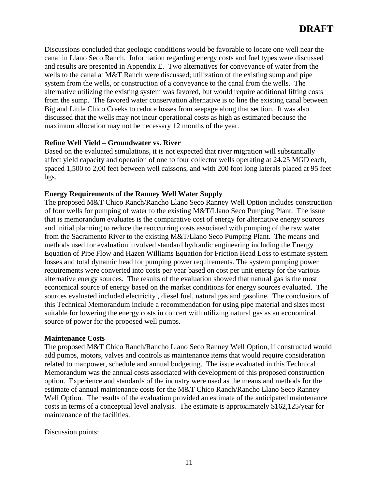Discussions concluded that geologic conditions would be favorable to locate one well near the canal in Llano Seco Ranch. Information regarding energy costs and fuel types were discussed and results are presented in Appendix E. Two alternatives for conveyance of water from the wells to the canal at M&T Ranch were discussed; utilization of the existing sump and pipe system from the wells, or construction of a conveyance to the canal from the wells. The alternative utilizing the existing system was favored, but would require additional lifting costs from the sump. The favored water conservation alternative is to line the existing canal between Big and Little Chico Creeks to reduce losses from seepage along that section. It was also discussed that the wells may not incur operational costs as high as estimated because the maximum allocation may not be necessary 12 months of the year.

#### **Refine Well Yield – Groundwater vs. River**

Based on the evaluated simulations, it is not expected that river migration will substantially affect yield capacity and operation of one to four collector wells operating at 24.25 MGD each, spaced 1,500 to 2,00 feet between well caissons, and with 200 foot long laterals placed at 95 feet bgs.

#### **Energy Requirements of the Ranney Well Water Supply**

The proposed M&T Chico Ranch/Rancho Llano Seco Ranney Well Option includes construction of four wells for pumping of water to the existing M&T/Llano Seco Pumping Plant. The issue that is memorandum evaluates is the comparative cost of energy for alternative energy sources and initial planning to reduce the reoccurring costs associated with pumping of the raw water from the Sacramento River to the existing M&T/Llano Seco Pumping Plant. The means and methods used for evaluation involved standard hydraulic engineering including the Energy Equation of Pipe Flow and Hazen Williams Equation for Friction Head Loss to estimate system losses and total dynamic head for pumping power requirements. The system pumping power requirements were converted into costs per year based on cost per unit energy for the various alternative energy sources. The results of the evaluation showed that natural gas is the most economical source of energy based on the market conditions for energy sources evaluated. The sources evaluated included electricity , diesel fuel, natural gas and gasoline. The conclusions of this Technical Memorandum include a recommendation for using pipe material and sizes most suitable for lowering the energy costs in concert with utilizing natural gas as an economical source of power for the proposed well pumps.

#### **Maintenance Costs**

The proposed M&T Chico Ranch/Rancho Llano Seco Ranney Well Option, if constructed would add pumps, motors, valves and controls as maintenance items that would require consideration related to manpower, schedule and annual budgeting. The issue evaluated in this Technical Memorandum was the annual costs associated with development of this proposed construction option. Experience and standards of the industry were used as the means and methods for the estimate of annual maintenance costs for the M&T Chico Ranch/Rancho Llano Seco Ranney Well Option. The results of the evaluation provided an estimate of the anticipated maintenance costs in terms of a conceptual level analysis. The estimate is approximately \$162,125/year for maintenance of the facilities.

Discussion points: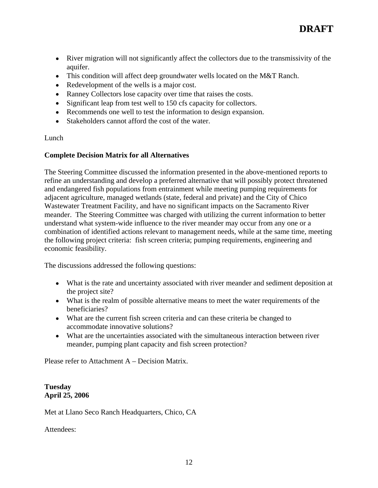- River migration will not significantly affect the collectors due to the transmissivity of the aquifer. The contract of the contract of the contract of the contract of the contract of the contract of the contract of the contract of the contract of the contract of the contract of the contract of the contract of the c
- This condition will affect deep groundwater wells located on the M&T Ranch.
- Redevelopment of the wells is a major cost.
- Ranney Collectors lose capacity over time that raises the costs.
- Significant leap from test well to 150 cfs capacity for collectors.
- Recommends one well to test the information to design expansion.
- Stakeholders cannot afford the cost of the water.

# Lunch **Lunch** the contract of the contract of the contract of the contract of the contract of the contract of the contract of the contract of the contract of the contract of the contract of the contract of the contract of

# **Complete Decision Matrix for all Alternatives**

The Steering Committee discussed the information presented in the above-mentioned reports to refine an understanding and develop a preferred alternative that will possibly protect threatened and endangered fish populations from entrainment while meeting pumping requirements for adjacent agriculture, managed wetlands (state, federal and private) and the City of Chico Wastewater Treatment Facility, and have no significant impacts on the Sacramento River meander. The Steering Committee was charged with utilizing the current information to better understand what system-wide influence to the river meander may occur from any one or a combination of identified actions relevant to management needs, while at the same time, meeting the following project criteria: fish screen criteria; pumping requirements, engineering and economic feasibility.

The discussions addressed the following questions:

- What is the rate and uncertainty associated with river meander and sediment deposition at the project site?
- What is the realm of possible alternative means to meet the water requirements of the beneficiaries?
- What are the current fish screen criteria and can these criteria be changed to accommodate innovative solutions?
- What are the uncertainties associated with the simultaneous interaction between river meander, pumping plant capacity and fish screen protection?

Please refer to Attachment A – Decision Matrix.

# **Tuesday April 25, 2006**

Met at Llano Seco Ranch Headquarters, Chico, CA

Attendees: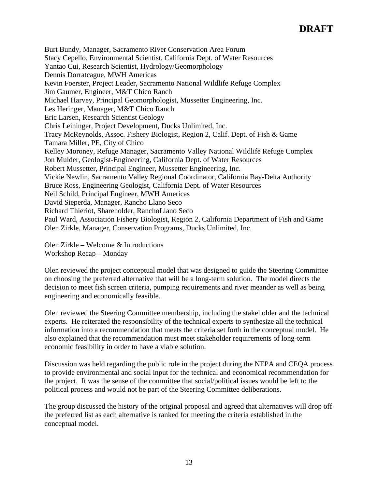Burt Bundy, Manager, Sacramento River Conservation Area Forum Stacy Cepello, Environmental Scientist, California Dept. of Water Resources Yantao Cui, Research Scientist, Hydrology/Geomorphology Dennis Dorratcague, MWH Americas Kevin Foerster, Project Leader, Sacramento National Wildlife Refuge Complex Jim Gaumer, Engineer, M&T Chico Ranch Michael Harvey, Principal Geomorphologist, Mussetter Engineering, Inc. Les Heringer, Manager, M&T Chico Ranch Eric Larsen, Research Scientist Geology Chris Leininger, Project Development, Ducks Unlimited, Inc. Tracy McReynolds, Assoc. Fishery Biologist, Region 2, Calif. Dept. of Fish & Game Tamara Miller, PE, City of Chico Kelley Moroney, Refuge Manager, Sacramento Valley National Wildlife Refuge Complex Jon Mulder, Geologist-Engineering, California Dept. of Water Resources Robert Mussetter, Principal Engineer, Mussetter Engineering, Inc. Vickie Newlin, Sacramento Valley Regional Coordinator, California Bay-Delta Authority Bruce Ross, Engineering Geologist, California Dept. of Water Resources Neil Schild, Principal Engineer, MWH Americas David Sieperda, Manager, Rancho Llano Seco Richard Thieriot, Shareholder, RanchoLlano Seco Paul Ward, Association Fishery Biologist, Region 2, California Department of Fish and Game Olen Zirkle, Manager, Conservation Programs, Ducks Unlimited, Inc.

Olen Zirkle **–** Welcome & Introductions Workshop Recap – Monday

Olen reviewed the project conceptual model that was designed to guide the Steering Committee on choosing the preferred alternative that will be a long-term solution. The model directs the decision to meet fish screen criteria, pumping requirements and river meander as well as being engineering and economically feasible.

Olen reviewed the Steering Committee membership, including the stakeholder and the technical experts. He reiterated the responsibility of the technical experts to synthesize all the technical information into a recommendation that meets the criteria set forth in the conceptual model. He also explained that the recommendation must meet stakeholder requirements of long-term economic feasibility in order to have a viable solution.

Discussion was held regarding the public role in the project during the NEPA and CEQA process to provide environmental and social input for the technical and economical recommendation for the project. It was the sense of the committee that social/political issues would be left to the political process and would not be part of the Steering Committee deliberations.

The group discussed the history of the original proposal and agreed that alternatives will drop off the preferred list as each alternative is ranked for meeting the criteria established in the conceptual model.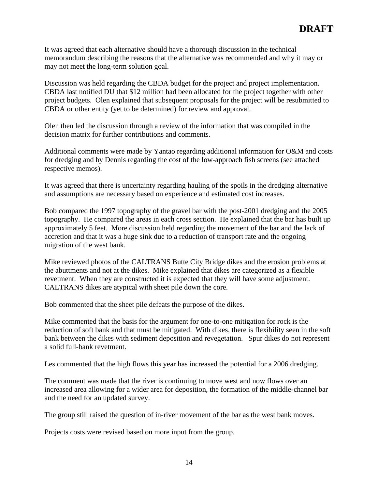It was agreed that each alternative should have a thorough discussion in the technical memorandum describing the reasons that the alternative was recommended and why it may or may not meet the long-term solution goal.

Discussion was held regarding the CBDA budget for the project and project implementation. CBDA last notified DU that \$12 million had been allocated for the project together with other project budgets. Olen explained that subsequent proposals for the project will be resubmitted to CBDA or other entity (yet to be determined) for review and approval.

Olen then led the discussion through a review of the information that was compiled in the decision matrix for further contributions and comments.

Additional comments were made by Yantao regarding additional information for O&M and costs for dredging and by Dennis regarding the cost of the low-approach fish screens (see attached respective memos).

It was agreed that there is uncertainty regarding hauling of the spoils in the dredging alternative and assumptions are necessary based on experience and estimated cost increases.

Bob compared the 1997 topography of the gravel bar with the post-2001 dredging and the 2005 topography. He compared the areas in each cross section. He explained that the bar has built up approximately 5 feet. More discussion held regarding the movement of the bar and the lack of accretion and that it was a huge sink due to a reduction of transport rate and the ongoing migration of the west bank.

Mike reviewed photos of the CALTRANS Butte City Bridge dikes and the erosion problems at the abuttments and not at the dikes. Mike explained that dikes are categorized as a flexible revetment. When they are constructed it is expected that they will have some adjustment. CALTRANS dikes are atypical with sheet pile down the core.

Bob commented that the sheet pile defeats the purpose of the dikes.

Mike commented that the basis for the argument for one-to-one mitigation for rock is the reduction of soft bank and that must be mitigated. With dikes, there is flexibility seen in the soft bank between the dikes with sediment deposition and revegetation. Spur dikes do not represent a solid full-bank revetment.

Les commented that the high flows this year has increased the potential for a 2006 dredging.

The comment was made that the river is continuing to move west and now flows over an increased area allowing for a wider area for deposition, the formation of the middle-channel bar and the need for an updated survey.

The group still raised the question of in-river movement of the bar as the west bank moves.

Projects costs were revised based on more input from the group.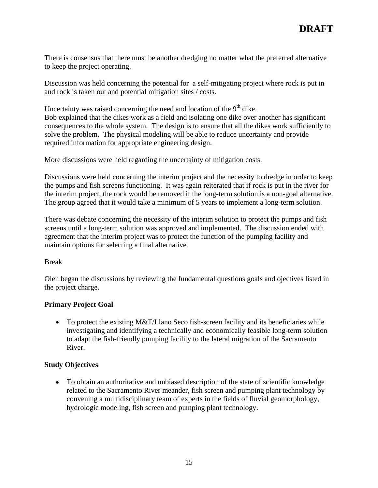There is consensus that there must be another dredging no matter what the preferred alternative to keep the project operating.

Discussion was held concerning the potential for a self-mitigating project where rock is put in and rock is taken out and potential mitigation sites / costs.

Uncertainty was raised concerning the need and location of the  $9<sup>th</sup>$  dike. Bob explained that the dikes work as a field and isolating one dike over another has significant consequences to the whole system. The design is to ensure that all the dikes work sufficiently to solve the problem. The physical modeling will be able to reduce uncertainty and provide required information for appropriate engineering design. More discussions were held regarding the uncertainty of mitigation costs.

Discussions were held concerning the interim project and the necessity to dredge in order to keep the pumps and fish screens functioning. It was again reiterated that if rock is put in the river for the interim project, the rock would be removed if the long-term solution is a non-goal alternative. The group agreed that it would take a minimum of 5 years to implement a long-term solution.

There was debate concerning the necessity of the interim solution to protect the pumps and fish screens until a long-term solution was approved and implemented. The discussion ended with agreement that the interim project was to protect the function of the pumping facility and maintain options for selecting a final alternative.

# Break **Break Break Break Break Break Break Break Break Break Break Break Break Break Break Break Break Break Break Break Break Break Break Break Break Break Break Break**

Olen began the discussions by reviewing the fundamental questions goals and ojectives listed in the project charge.

# **Primary Project Goal**

• To protect the existing M&T/Llano Seco fish-screen facility and its beneficiaries while investigating and identifying a technically and economically feasible long-term solution to adapt the fish-friendly pumping facility to the lateral migration of the Sacramento River.

# **Study Objectives**

To obtain an authoritative and unbiased description of the state of scientific knowledge related to the Sacramento River meander, fish screen and pumping plant technology by convening a multidisciplinary team of experts in the fields of fluvial geomorphology, hydrologic modeling, fish screen and pumping plant technology.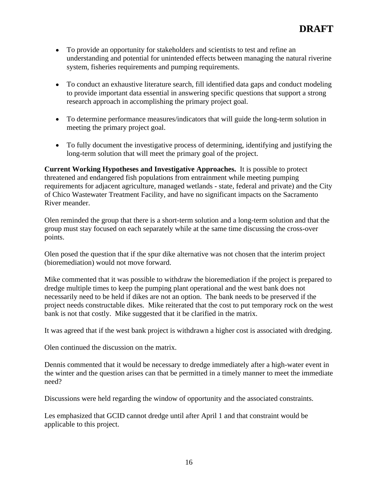- To provide an opportunity for stakeholders and scientists to test and refine an understanding and potential for unintended effects between managing the natural riverine system, fisheries requirements and pumping requirements.
- To conduct an exhaustive literature search, fill identified data gaps and conduct modeling to provide important data essential in answering specific questions that support a strong research approach in accomplishing the primary project goal.
- To determine performance measures/indicators that will guide the long-term solution in meeting the primary project goal.
- To fully document the investigative process of determining, identifying and justifying the long-term solution that will meet the primary goal of the project.

**Current Working Hypotheses and Investigative Approaches.** It is possible to protect threatened and endangered fish populations from entrainment while meeting pumping requirements for adjacent agriculture, managed wetlands - state, federal and private) and the City of Chico Wastewater Treatment Facility, and have no significant impacts on the Sacramento River meander.

Olen reminded the group that there is a short-term solution and a long-term solution and that the group must stay focused on each separately while at the same time discussing the cross-over points.

Olen posed the question that if the spur dike alternative was not chosen that the interim project (bioremediation) would not move forward.

Mike commented that it was possible to withdraw the bioremediation if the project is prepared to dredge multiple times to keep the pumping plant operational and the west bank does not necessarily need to be held if dikes are not an option. The bank needs to be preserved if the project needs constructable dikes. Mike reiterated that the cost to put temporary rock on the west bank is not that costly. Mike suggested that it be clarified in the matrix.

It was agreed that if the west bank project is withdrawn a higher cost is associated with dredging.

Olen continued the discussion on the matrix.

Dennis commented that it would be necessary to dredge immediately after a high-water event in the winter and the question arises can that be permitted in a timely manner to meet the immediate need?

Discussions were held regarding the window of opportunity and the associated constraints.

Les emphasized that GCID cannot dredge until after April 1 and that constraint would be applicable to this project.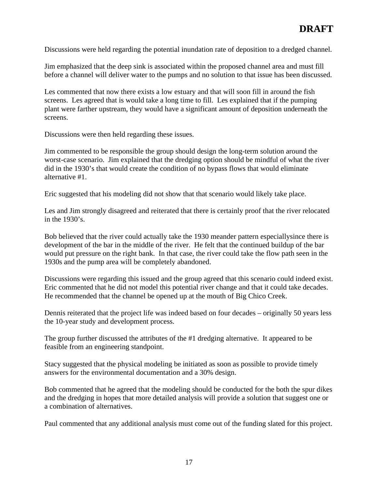Discussions were held regarding the potential inundation rate of deposition to a dredged channel.

Jim emphasized that the deep sink is associated within the proposed channel area and must fill before a channel will deliver water to the pumps and no solution to that issue has been discussed.

Les commented that now there exists a low estuary and that will soon fill in around the fish screens. Les agreed that is would take a long time to fill. Les explained that if the pumping plant were farther upstream, they would have a significant amount of deposition underneath the screens.

Discussions were then held regarding these issues.

Jim commented to be responsible the group should design the long-term solution around the worst-case scenario. Jim explained that the dredging option should be mindful of what the river did in the 1930's that would create the condition of no bypass flows that would eliminate alternative #1.

Eric suggested that his modeling did not show that that scenario would likely take place.

Les and Jim strongly disagreed and reiterated that there is certainly proof that the river relocated in the 1930's.

Bob believed that the river could actually take the 1930 meander pattern especiallysince there is development of the bar in the middle of the river. He felt that the continued buildup of the bar would put pressure on the right bank. In that case, the river could take the flow path seen in the 1930s and the pump area will be completely abandoned.

Discussions were regarding this issued and the group agreed that this scenario could indeed exist. Eric commented that he did not model this potential river change and that it could take decades. He recommended that the channel be opened up at the mouth of Big Chico Creek.

Dennis reiterated that the project life was indeed based on four decades – originally 50 years less the 10-year study and development process.

The group further discussed the attributes of the #1 dredging alternative. It appeared to be feasible from an engineering standpoint.

Stacy suggested that the physical modeling be initiated as soon as possible to provide timely answers for the environmental documentation and a 30% design.

Bob commented that he agreed that the modeling should be conducted for the both the spur dikes and the dredging in hopes that more detailed analysis will provide a solution that suggest one or a combination of alternatives.

Paul commented that any additional analysis must come out of the funding slated for this project.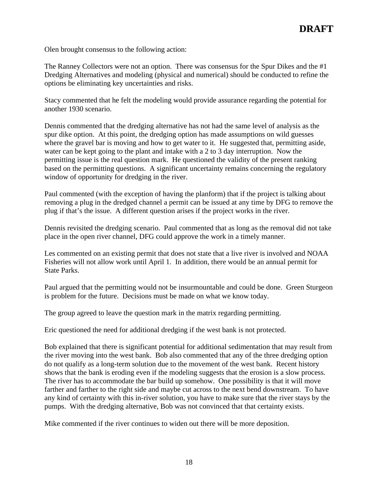Olen brought consensus to the following action:

The Ranney Collectors were not an option. There was consensus for the Spur Dikes and the #1 Dredging Alternatives and modeling (physical and numerical) should be conducted to refine the options be eliminating key uncertainties and risks.

Stacy commented that he felt the modeling would provide assurance regarding the potential for another 1930 scenario.

Dennis commented that the dredging alternative has not had the same level of analysis as the spur dike option. At this point, the dredging option has made assumptions on wild guesses where the gravel bar is moving and how to get water to it. He suggested that, permitting aside, water can be kept going to the plant and intake with a 2 to 3 day interruption. Now the permitting issue is the real question mark. He questioned the validity of the present ranking based on the permitting questions. A significant uncertainty remains concerning the regulatory window of opportunity for dredging in the river.

Paul commented (with the exception of having the planform) that if the project is talking about removing a plug in the dredged channel a permit can be issued at any time by DFG to remove the plug if that's the issue. A different question arises if the project works in the river.

Dennis revisited the dredging scenario. Paul commented that as long as the removal did not take place in the open river channel, DFG could approve the work in a timely manner.

Les commented on an existing permit that does not state that a live river is involved and NOAA Fisheries will not allow work until April 1. In addition, there would be an annual permit for State Parks.

Paul argued that the permitting would not be insurmountable and could be done. Green Sturgeon is problem for the future. Decisions must be made on what we know today.

The group agreed to leave the question mark in the matrix regarding permitting.

Eric questioned the need for additional dredging if the west bank is not protected.

Bob explained that there is significant potential for additional sedimentation that may result from the river moving into the west bank. Bob also commented that any of the three dredging option do not qualify as a long-term solution due to the movement of the west bank. Recent history shows that the bank is eroding even if the modeling suggests that the erosion is a slow process. The river has to accommodate the bar build up somehow. One possibility is that it will move farther and farther to the right side and maybe cut across to the next bend downstream. To have any kind of certainty with this in-river solution, you have to make sure that the river stays by the pumps. With the dredging alternative, Bob was not convinced that that certainty exists.

Mike commented if the river continues to widen out there will be more deposition.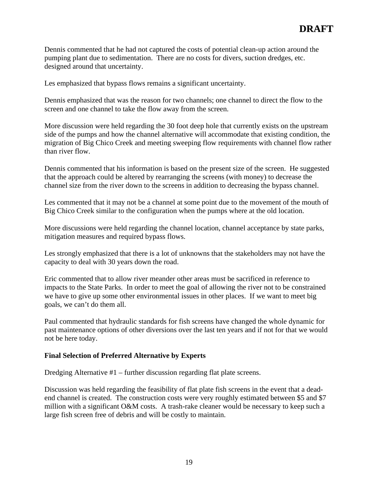Dennis commented that he had not captured the costs of potential clean-up action around the pumping plant due to sedimentation. There are no costs for divers, suction dredges, etc. designed around that uncertainty.

Les emphasized that bypass flows remains a significant uncertainty.

Dennis emphasized that was the reason for two channels; one channel to direct the flow to the screen and one channel to take the flow away from the screen.

More discussion were held regarding the 30 foot deep hole that currently exists on the upstream side of the pumps and how the channel alternative will accommodate that existing condition, the migration of Big Chico Creek and meeting sweeping flow requirements with channel flow rather than river flow.

Dennis commented that his information is based on the present size of the screen. He suggested that the approach could be altered by rearranging the screens (with money) to decrease the channel size from the river down to the screens in addition to decreasing the bypass channel.

Les commented that it may not be a channel at some point due to the movement of the mouth of Big Chico Creek similar to the configuration when the pumps where at the old location.

More discussions were held regarding the channel location, channel acceptance by state parks, mitigation measures and required bypass flows.

Les strongly emphasized that there is a lot of unknowns that the stakeholders may not have the capacity to deal with 30 years down the road.

Eric commented that to allow river meander other areas must be sacrificed in reference to impacts to the State Parks. In order to meet the goal of allowing the river not to be constrained we have to give up some other environmental issues in other places. If we want to meet big goals, we can't do them all.

Paul commented that hydraulic standards for fish screens have changed the whole dynamic for past maintenance options of other diversions over the last ten years and if not for that we would not be here today.

### **Final Selection of Preferred Alternative by Experts**

Dredging Alternative #1 – further discussion regarding flat plate screens.

Discussion was held regarding the feasibility of flat plate fish screens in the event that a dead end channel is created. The construction costs were very roughly estimated between \$5 and \$7 million with a significant O&M costs. A trash-rake cleaner would be necessary to keep such a large fish screen free of debris and will be costly to maintain.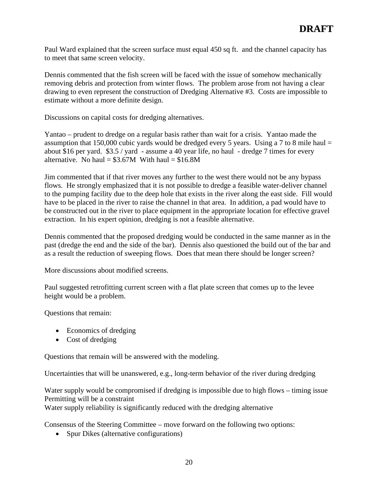Paul Ward explained that the screen surface must equal 450 sq ft. and the channel capacity has to meet that same screen velocity.

Dennis commented that the fish screen will be faced with the issue of somehow mechanically removing debris and protection from winter flows. The problem arose from not having a clear drawing to even represent the construction of Dredging Alternative #3. Costs are impossible to estimate without a more definite design.

Discussions on capital costs for dredging alternatives.

Yantao – prudent to dredge on a regular basis rather than wait for a crisis. Yantao made the assumption that 150,000 cubic yards would be dredged every 5 years. Using a 7 to 8 mile haul  $=$ about \$16 per yard. \$3.5 / yard - assume a 40 year life, no haul - dredge 7 times for every alternative. No haul =  $$3.67M$  With haul =  $$16.8M$ 

Jim commented that if that river moves any further to the west there would not be any bypass flows. He strongly emphasized that it is not possible to dredge a feasible water-deliver channel to the pumping facility due to the deep hole that exists in the river along the east side. Fill would have to be placed in the river to raise the channel in that area. In addition, a pad would have to be constructed out in the river to place equipment in the appropriate location for effective gravel extraction. In his expert opinion, dredging is not a feasible alternative.

Dennis commented that the proposed dredging would be conducted in the same manner as in the past (dredge the end and the side of the bar). Dennis also questioned the build out of the bar and as a result the reduction of sweeping flows. Does that mean there should be longer screen?

More discussions about modified screens.

Paul suggested retrofitting current screen with a flat plate screen that comes up to the levee height would be a problem.

Questions that remain:

- Economics of dredging
- Cost of dredging

Questions that remain will be answered with the modeling.

Uncertainties that will be unanswered, e.g., long-term behavior of the river during dredging

Water supply would be compromised if dredging is impossible due to high flows – timing issue Permitting will be a constraint

Water supply reliability is significantly reduced with the dredging alternative

Consensus of the Steering Committee – move forward on the following two options:

• Spur Dikes (alternative configurations)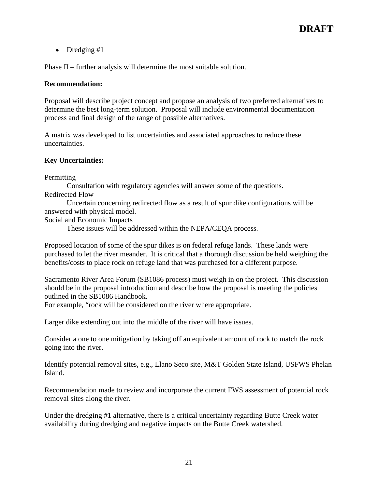Dredging #1

Phase II – further analysis will determine the most suitable solution.

#### **Recommendation:**

Proposal will describe project concept and propose an analysis of two preferred alternatives to determine the best long-term solution. Proposal will include environmental documentation process and final design of the range of possible alternatives.

A matrix was developed to list uncertainties and associated approaches to reduce these uncertainties.

### **Key Uncertainties:**

Permitting the contract of the contract of the contract of the contract of the contract of the contract of the contract of the contract of the contract of the contract of the contract of the contract of the contract of the

Consultation with regulatory agencies will answer some of the questions.

Redirected Flow

Uncertain concerning redirected flow as a result of spur dike configurations will be answered with physical model.

Social and Economic Impacts

These issues will be addressed within the NEPA/CEQA process.

Proposed location of some of the spur dikes is on federal refuge lands. These lands were purchased to let the river meander. It is critical that a thorough discussion be held weighing the benefits/costs to place rock on refuge land that was purchased for a different purpose.

Sacramento River Area Forum (SB1086 process) must weigh in on the project. This discussion should be in the proposal introduction and describe how the proposal is meeting the policies outlined in the SB1086 Handbook.

For example, "rock will be considered on the river where appropriate.

Larger dike extending out into the middle of the river will have issues.

Consider a one to one mitigation by taking off an equivalent amount of rock to match the rock going into the river.

Identify potential removal sites, e.g., Llano Seco site, M&T Golden State Island, USFWS Phelan Island.

Recommendation made to review and incorporate the current FWS assessment of potential rock removal sites along the river.

Under the dredging #1 alternative, there is a critical uncertainty regarding Butte Creek water availability during dredging and negative impacts on the Butte Creek watershed.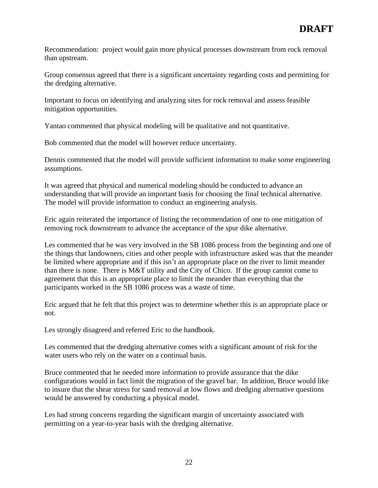Recommendation: project would gain more physical processes downstream from rock removal than upstream.

Group consensus agreed that there is a significant uncertainty regarding costs and permitting for the dredging alternative.

Important to focus on identifying and analyzing sites for rock removal and assess feasible mitigation opportunities.

Yantao commented that physical modeling will be qualitative and not quantitative.

Bob commented that the model will however reduce uncertainty.

Dennis commented that the model will provide sufficient information to make some engineering assumptions.

It was agreed that physical and numerical modeling should be conducted to advance an understanding that will provide an important basis for choosing the final technical alternative. The model will provide information to conduct an engineering analysis.

Eric again reiterated the importance of listing the recommendation of one to one mitigation of removing rock downstream to advance the acceptance of the spur dike alternative.

Les commented that he was very involved in the SB 1086 process from the beginning and one of the things that landowners, cities and other people with infrastructure asked was that the meander be limited where appropriate and if this isn't an appropriate place on the river to limit meander than there is none. There is M&T utility and the City of Chico. If the group cannot come to agreement that this is an appropriate place to limit the meander than everything that the participants worked in the SB 1086 process was a waste of time.

Eric argued that he felt that this project was to determine whether this is an appropriate place or not.

Les strongly disagreed and referred Eric to the handbook.

Les commented that the dredging alternative comes with a significant amount of risk for the water users who rely on the water on a continual basis.

Bruce commented that he needed more information to provide assurance that the dike configurations would in fact limit the migration of the gravel bar. In addition, Bruce would like to insure that the shear stress for sand removal at low flows and dredging alternative questions would be answered by conducting a physical model.

Les had strong concerns regarding the significant margin of uncertainty associated with permitting on a year-to-year basis with the dredging alternative.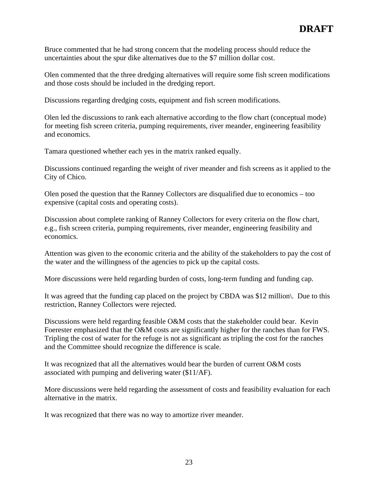Bruce commented that he had strong concern that the modeling process should reduce the uncertainties about the spur dike alternatives due to the \$7 million dollar cost.

Olen commented that the three dredging alternatives will require some fish screen modifications and those costs should be included in the dredging report.

Discussions regarding dredging costs, equipment and fish screen modifications.

Olen led the discussions to rank each alternative according to the flow chart (conceptual mode) for meeting fish screen criteria, pumping requirements, river meander, engineering feasibility and economics.

Tamara questioned whether each yes in the matrix ranked equally.

Discussions continued regarding the weight of river meander and fish screens as it applied to the City of Chico.

Olen posed the question that the Ranney Collectors are disqualified due to economics – too expensive (capital costs and operating costs).

Discussion about complete ranking of Ranney Collectors for every criteria on the flow chart, e.g., fish screen criteria, pumping requirements, river meander, engineering feasibility and economics.

Attention was given to the economic criteria and the ability of the stakeholders to pay the cost of the water and the willingness of the agencies to pick up the capital costs.

More discussions were held regarding burden of costs, long-term funding and funding cap.

It was agreed that the funding cap placed on the project by CBDA was \$12 million\. Due to this restriction, Ranney Collectors were rejected.

Discussions were held regarding feasible O&M costs that the stakeholder could bear. Kevin Foerester emphasized that the O&M costs are significantly higher for the ranches than for FWS. Tripling the cost of water for the refuge is not as significant as tripling the cost for the ranches and the Committee should recognize the difference is scale.

It was recognized that all the alternatives would bear the burden of current O&M costs associated with pumping and delivering water (\$11/AF).

More discussions were held regarding the assessment of costs and feasibility evaluation for each alternative in the matrix.

It was recognized that there was no way to amortize river meander.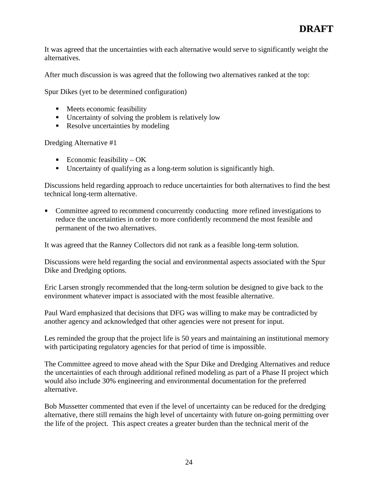It was agreed that the uncertainties with each alternative would serve to significantly weight the alternatives.

After much discussion is was agreed that the following two alternatives ranked at the top:

Spur Dikes (yet to be determined configuration)

- Meets economic feasibility
- Uncertainty of solving the problem is relatively low
- Resolve uncertainties by modeling

Dredging Alternative #1

- Economic feasibility OK
- Uncertainty of qualifying as a long-term solution is significantly high.

Discussions held regarding approach to reduce uncertainties for both alternatives to find the best technical long-term alternative.

Committee agreed to recommend concurrently conducting more refined investigations to reduce the uncertainties in order to more confidently recommend the most feasible and permanent of the two alternatives.

It was agreed that the Ranney Collectors did not rank as a feasible long-term solution.

Discussions were held regarding the social and environmental aspects associated with the Spur Dike and Dredging options.

Eric Larsen strongly recommended that the long-term solution be designed to give back to the environment whatever impact is associated with the most feasible alternative.

Paul Ward emphasized that decisions that DFG was willing to make may be contradicted by another agency and acknowledged that other agencies were not present for input.

Les reminded the group that the project life is 50 years and maintaining an institutional memory with participating regulatory agencies for that period of time is impossible.

The Committee agreed to move ahead with the Spur Dike and Dredging Alternatives and reduce the uncertainties of each through additional refined modeling as part of a Phase II project which would also include 30% engineering and environmental documentation for the preferred alternative.

Bob Mussetter commented that even if the level of uncertainty can be reduced for the dredging alternative, there still remains the high level of uncertainty with future on-going permitting over the life of the project. This aspect creates a greater burden than the technical merit of the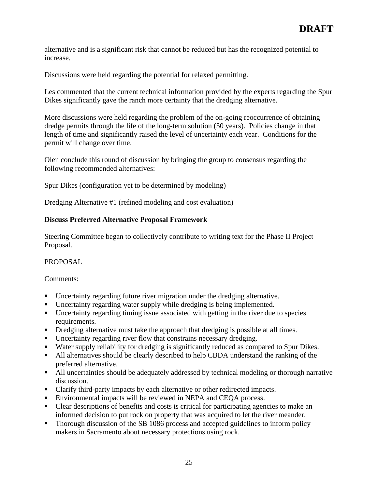alternative and is a significant risk that cannot be reduced but has the recognized potential to increase.

Discussions were held regarding the potential for relaxed permitting.

Les commented that the current technical information provided by the experts regarding the Spur Dikes significantly gave the ranch more certainty that the dredging alternative.

More discussions were held regarding the problem of the on-going reoccurrence of obtaining dredge permits through the life of the long-term solution (50 years). Policies change in that length of time and significantly raised the level of uncertainty each year. Conditions for the permit will change over time.

Olen conclude this round of discussion by bringing the group to consensus regarding the following recommended alternatives:

Spur Dikes (configuration yet to be determined by modeling)

Dredging Alternative #1 (refined modeling and cost evaluation)

# **Discuss Preferred Alternative Proposal Framework**

Steering Committee began to collectively contribute to writing text for the Phase II Project Proposal.

# PROPOSAL

Comments:

- Uncertainty regarding future river migration under the dredging alternative.
- $\blacksquare$ Uncertainty regarding water supply while dredging is being implemented.
- Uncertainty regarding timing issue associated with getting in the river due to species requirements.
- $\blacksquare$ Dredging alternative must take the approach that dredging is possible at all times.
- Uncertainty regarding river flow that constrains necessary dredging.
- Water supply reliability for dredging is significantly reduced as compared to Spur Dikes.
- $\blacksquare$ All alternatives should be clearly described to help CBDA understand the ranking of the preferred alternative.
- All uncertainties should be adequately addressed by technical modeling or thorough narrative discussion.
- Clarify third-party impacts by each alternative or other redirected impacts.
- Environmental impacts will be reviewed in NEPA and CEOA process.
- Clear descriptions of benefits and costs is critical for participating agencies to make an informed decision to put rock on property that was acquired to let the river meander.
- Thorough discussion of the SB 1086 process and accepted guidelines to inform policy makers in Sacramento about necessary protections using rock.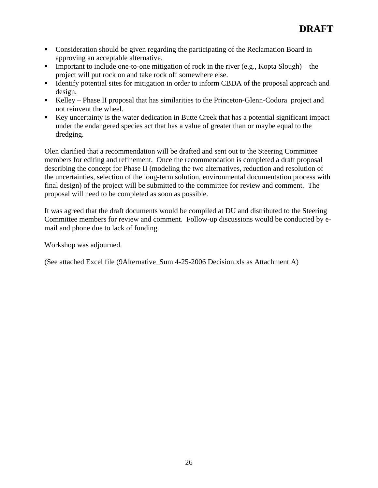- Consideration should be given regarding the participating of the Reclamation Board in approving an acceptable alternative.
- Important to include one-to-one mitigation of rock in the river (e.g., Kopta Slough) the project will put rock on and take rock off somewhere else.
- Identify potential sites for mitigation in order to inform CBDA of the proposal approach and design.
- Kelley Phase II proposal that has similarities to the Princeton-Glenn-Codora project and not reinvent the wheel.
- Key uncertainty is the water dedication in Butte Creek that has a potential significant impact under the endangered species act that has a value of greater than or maybe equal to the dredging. The contract of the contract of the contract of the contract of the contract of the contract of the contract of the contract of the contract of the contract of the contract of the contract of the contract of the

Olen clarified that a recommendation will be drafted and sent out to the Steering Committee members for editing and refinement. Once the recommendation is completed a draft proposal describing the concept for Phase II (modeling the two alternatives, reduction and resolution of the uncertainties, selection of the long-term solution, environmental documentation process with final design) of the project will be submitted to the committee for review and comment. The proposal will need to be completed as soon as possible.

It was agreed that the draft documents would be compiled at DU and distributed to the Steering Committee members for review and comment. Follow-up discussions would be conducted by e mail and phone due to lack of funding.

Workshop was adjourned.

(See attached Excel file (9Alternative\_Sum 4-25-2006 Decision.xls as Attachment A)